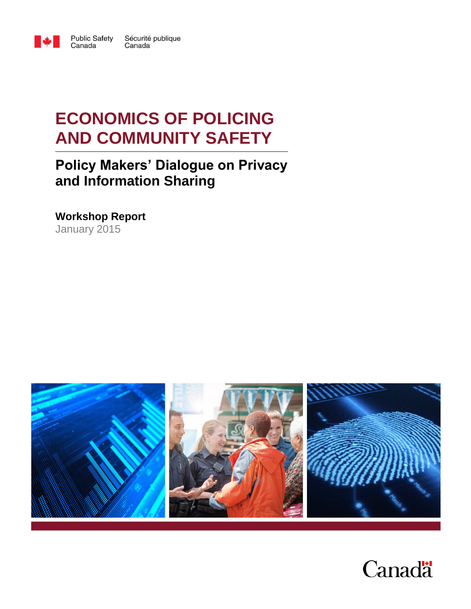

**Public Safety** Sécurité publique Canada Canada

# **ECONOMICS OF POLICING AND COMMUNITY SAFETY**

# **Policy Makers' Dialogue on Privacy and Information Sharing**

**Workshop Report** January 2015



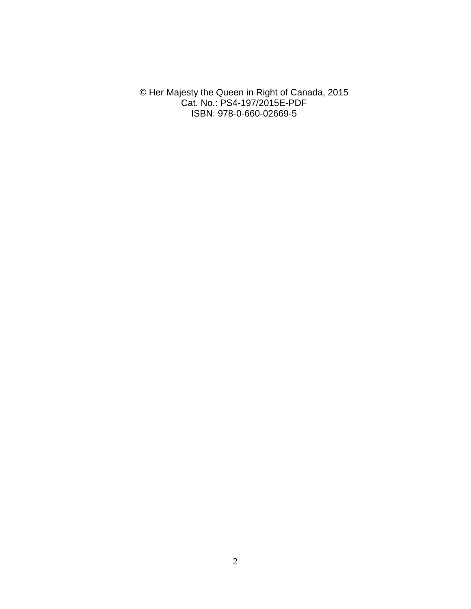© Her Majesty the Queen in Right of Canada, 2015 Cat. No.: PS4-197/2015E-PDF ISBN: 978-0-660-02669-5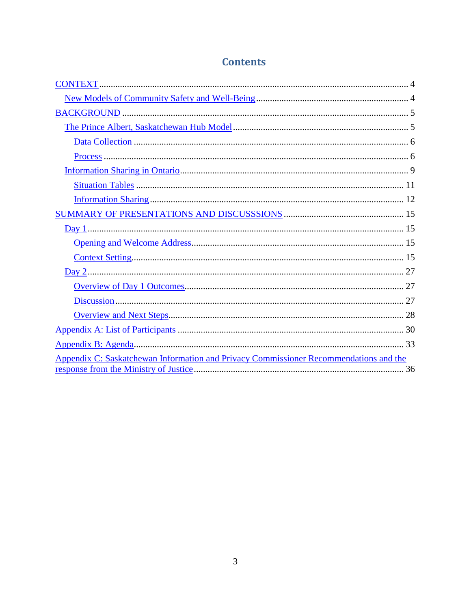| Appendix C: Saskatchewan Information and Privacy Commissioner Recommendations and the |
|---------------------------------------------------------------------------------------|
|                                                                                       |

# **Contents**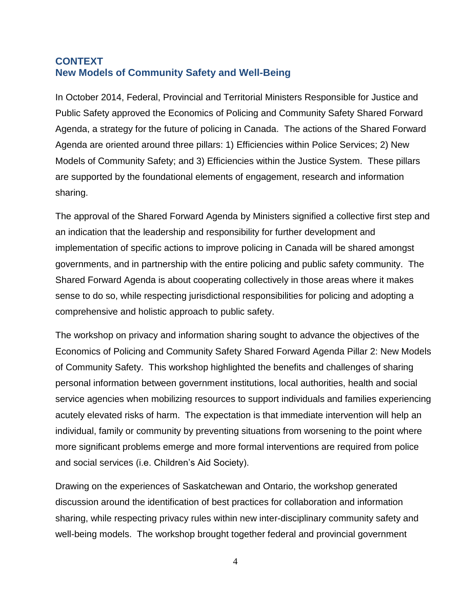### <span id="page-3-1"></span><span id="page-3-0"></span>**CONTEXT New Models of Community Safety and Well-Being**

In October 2014, Federal, Provincial and Territorial Ministers Responsible for Justice and Public Safety approved the Economics of Policing and Community Safety Shared Forward Agenda, a strategy for the future of policing in Canada. The actions of the Shared Forward Agenda are oriented around three pillars: 1) Efficiencies within Police Services; 2) New Models of Community Safety; and 3) Efficiencies within the Justice System. These pillars are supported by the foundational elements of engagement, research and information sharing.

The approval of the Shared Forward Agenda by Ministers signified a collective first step and an indication that the leadership and responsibility for further development and implementation of specific actions to improve policing in Canada will be shared amongst governments, and in partnership with the entire policing and public safety community. The Shared Forward Agenda is about cooperating collectively in those areas where it makes sense to do so, while respecting jurisdictional responsibilities for policing and adopting a comprehensive and holistic approach to public safety.

The workshop on privacy and information sharing sought to advance the objectives of the Economics of Policing and Community Safety Shared Forward Agenda Pillar 2: New Models of Community Safety. This workshop highlighted the benefits and challenges of sharing personal information between government institutions, local authorities, health and social service agencies when mobilizing resources to support individuals and families experiencing acutely elevated risks of harm. The expectation is that immediate intervention will help an individual, family or community by preventing situations from worsening to the point where more significant problems emerge and more formal interventions are required from police and social services (i.e. Children's Aid Society).

Drawing on the experiences of Saskatchewan and Ontario, the workshop generated discussion around the identification of best practices for collaboration and information sharing, while respecting privacy rules within new inter-disciplinary community safety and well-being models. The workshop brought together federal and provincial government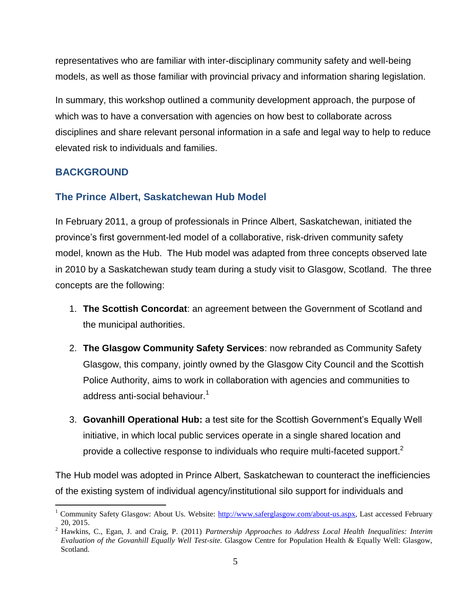representatives who are familiar with inter-disciplinary community safety and well-being models, as well as those familiar with provincial privacy and information sharing legislation.

In summary, this workshop outlined a community development approach, the purpose of which was to have a conversation with agencies on how best to collaborate across disciplines and share relevant personal information in a safe and legal way to help to reduce elevated risk to individuals and families.

### <span id="page-4-0"></span>**BACKGROUND**

 $\overline{a}$ 

### <span id="page-4-1"></span>**The Prince Albert, Saskatchewan Hub Model**

In February 2011, a group of professionals in Prince Albert, Saskatchewan, initiated the province's first government-led model of a collaborative, risk-driven community safety model, known as the Hub. The Hub model was adapted from three concepts observed late in 2010 by a Saskatchewan study team during a study visit to Glasgow, Scotland. The three concepts are the following:

- 1. **The Scottish Concordat**: an agreement between the Government of Scotland and the municipal authorities.
- 2. **The Glasgow Community Safety Services**: now rebranded as Community Safety Glasgow, this company, jointly owned by the Glasgow City Council and the Scottish Police Authority, aims to work in collaboration with agencies and communities to address anti-social behaviour. $1$
- 3. **Govanhill Operational Hub:** a test site for the Scottish Government's Equally Well initiative, in which local public services operate in a single shared location and provide a collective response to individuals who require multi-faceted support.<sup>2</sup>

The Hub model was adopted in Prince Albert, Saskatchewan to counteract the inefficiencies of the existing system of individual agency/institutional silo support for individuals and

<sup>&</sup>lt;sup>1</sup> Community Safety Glasgow: About Us. Website: [http://www.saferglasgow.com/about-us.aspx,](http://www.saferglasgow.com/about-us.aspx) Last accessed February 20, 2015.

<sup>2</sup> Hawkins, C., Egan, J. and Craig, P. (2011) *Partnership Approaches to Address Local Health Inequalities: Interim Evaluation of the Govanhill Equally Well Test-site.* Glasgow Centre for Population Health & Equally Well: Glasgow, Scotland.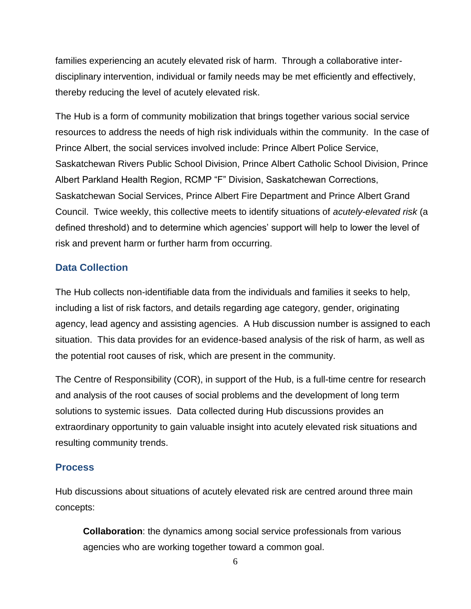families experiencing an acutely elevated risk of harm. Through a collaborative interdisciplinary intervention, individual or family needs may be met efficiently and effectively, thereby reducing the level of acutely elevated risk.

The Hub is a form of community mobilization that brings together various social service resources to address the needs of high risk individuals within the community. In the case of Prince Albert, the social services involved include: Prince Albert Police Service, Saskatchewan Rivers Public School Division, Prince Albert Catholic School Division, Prince Albert Parkland Health Region, RCMP "F" Division, Saskatchewan Corrections, Saskatchewan Social Services, Prince Albert Fire Department and Prince Albert Grand Council. Twice weekly, this collective meets to identify situations of *acutely-elevated risk* (a defined threshold) and to determine which agencies' support will help to lower the level of risk and prevent harm or further harm from occurring.

### <span id="page-5-0"></span>**Data Collection**

The Hub collects non-identifiable data from the individuals and families it seeks to help, including a list of risk factors, and details regarding age category, gender, originating agency, lead agency and assisting agencies. A Hub discussion number is assigned to each situation. This data provides for an evidence-based analysis of the risk of harm, as well as the potential root causes of risk, which are present in the community.

The Centre of Responsibility (COR), in support of the Hub, is a full-time centre for research and analysis of the root causes of social problems and the development of long term solutions to systemic issues. Data collected during Hub discussions provides an extraordinary opportunity to gain valuable insight into acutely elevated risk situations and resulting community trends.

### <span id="page-5-1"></span>**Process**

Hub discussions about situations of acutely elevated risk are centred around three main concepts:

**Collaboration**: the dynamics among social service professionals from various agencies who are working together toward a common goal.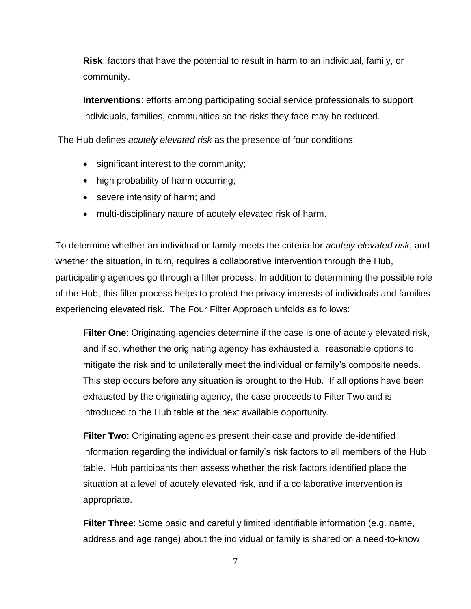**Risk**: factors that have the potential to result in harm to an individual, family, or community.

**Interventions**: efforts among participating social service professionals to support individuals, families, communities so the risks they face may be reduced.

The Hub defines *acutely elevated risk* as the presence of four conditions:

- significant interest to the community;
- high probability of harm occurring;
- severe intensity of harm; and
- multi-disciplinary nature of acutely elevated risk of harm.

To determine whether an individual or family meets the criteria for *acutely elevated risk*, and whether the situation, in turn, requires a collaborative intervention through the Hub, participating agencies go through a filter process. In addition to determining the possible role of the Hub, this filter process helps to protect the privacy interests of individuals and families experiencing elevated risk. The Four Filter Approach unfolds as follows:

**Filter One**: Originating agencies determine if the case is one of acutely elevated risk, and if so, whether the originating agency has exhausted all reasonable options to mitigate the risk and to unilaterally meet the individual or family's composite needs. This step occurs before any situation is brought to the Hub. If all options have been exhausted by the originating agency, the case proceeds to Filter Two and is introduced to the Hub table at the next available opportunity.

**Filter Two**: Originating agencies present their case and provide de-identified information regarding the individual or family's risk factors to all members of the Hub table. Hub participants then assess whether the risk factors identified place the situation at a level of acutely elevated risk, and if a collaborative intervention is appropriate.

**Filter Three**: Some basic and carefully limited identifiable information (e.g. name, address and age range) about the individual or family is shared on a need-to-know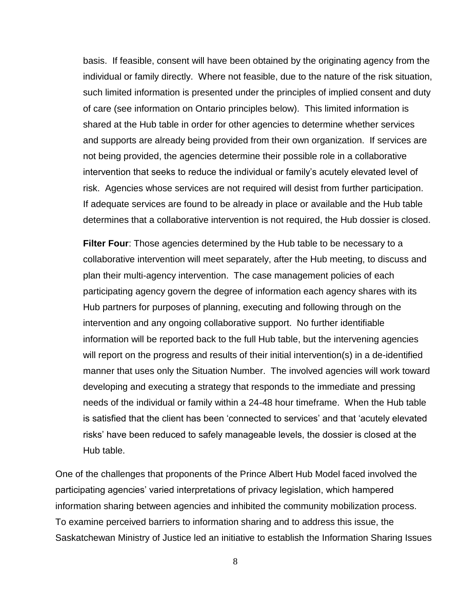basis. If feasible, consent will have been obtained by the originating agency from the individual or family directly. Where not feasible, due to the nature of the risk situation, such limited information is presented under the principles of implied consent and duty of care (see information on Ontario principles below). This limited information is shared at the Hub table in order for other agencies to determine whether services and supports are already being provided from their own organization. If services are not being provided, the agencies determine their possible role in a collaborative intervention that seeks to reduce the individual or family's acutely elevated level of risk. Agencies whose services are not required will desist from further participation. If adequate services are found to be already in place or available and the Hub table determines that a collaborative intervention is not required, the Hub dossier is closed.

**Filter Four**: Those agencies determined by the Hub table to be necessary to a collaborative intervention will meet separately, after the Hub meeting, to discuss and plan their multi-agency intervention. The case management policies of each participating agency govern the degree of information each agency shares with its Hub partners for purposes of planning, executing and following through on the intervention and any ongoing collaborative support. No further identifiable information will be reported back to the full Hub table, but the intervening agencies will report on the progress and results of their initial intervention(s) in a de-identified manner that uses only the Situation Number. The involved agencies will work toward developing and executing a strategy that responds to the immediate and pressing needs of the individual or family within a 24-48 hour timeframe. When the Hub table is satisfied that the client has been 'connected to services' and that 'acutely elevated risks' have been reduced to safely manageable levels, the dossier is closed at the Hub table.

One of the challenges that proponents of the Prince Albert Hub Model faced involved the participating agencies' varied interpretations of privacy legislation, which hampered information sharing between agencies and inhibited the community mobilization process. To examine perceived barriers to information sharing and to address this issue, the Saskatchewan Ministry of Justice led an initiative to establish the Information Sharing Issues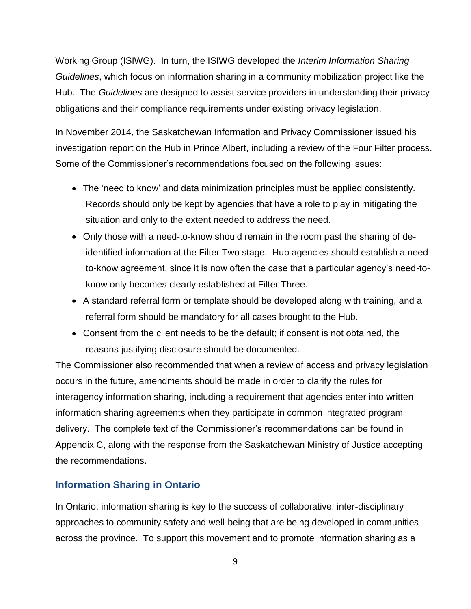Working Group (ISIWG). In turn, the ISIWG developed the *Interim Information Sharing Guidelines*, which focus on information sharing in a community mobilization project like the Hub. The *Guidelines* are designed to assist service providers in understanding their privacy obligations and their compliance requirements under existing privacy legislation.

In November 2014, the Saskatchewan Information and Privacy Commissioner issued his investigation report on the Hub in Prince Albert, including a review of the Four Filter process. Some of the Commissioner's recommendations focused on the following issues:

- The 'need to know' and data minimization principles must be applied consistently. Records should only be kept by agencies that have a role to play in mitigating the situation and only to the extent needed to address the need.
- Only those with a need-to-know should remain in the room past the sharing of deidentified information at the Filter Two stage. Hub agencies should establish a needto-know agreement, since it is now often the case that a particular agency's need-toknow only becomes clearly established at Filter Three.
- A standard referral form or template should be developed along with training, and a referral form should be mandatory for all cases brought to the Hub.
- Consent from the client needs to be the default; if consent is not obtained, the reasons justifying disclosure should be documented.

The Commissioner also recommended that when a review of access and privacy legislation occurs in the future, amendments should be made in order to clarify the rules for interagency information sharing, including a requirement that agencies enter into written information sharing agreements when they participate in common integrated program delivery. The complete text of the Commissioner's recommendations can be found in Appendix C, along with the response from the Saskatchewan Ministry of Justice accepting the recommendations.

### <span id="page-8-0"></span>**Information Sharing in Ontario**

In Ontario, information sharing is key to the success of collaborative, inter-disciplinary approaches to community safety and well-being that are being developed in communities across the province. To support this movement and to promote information sharing as a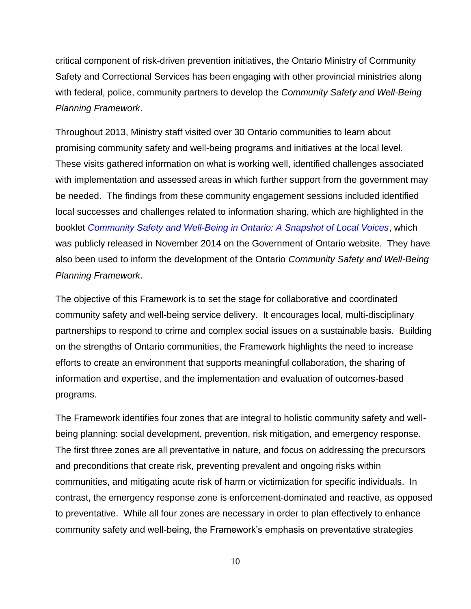critical component of risk-driven prevention initiatives, the Ontario Ministry of Community Safety and Correctional Services has been engaging with other provincial ministries along with federal, police, community partners to develop the *Community Safety and Well-Being Planning Framework*.

Throughout 2013, Ministry staff visited over 30 Ontario communities to learn about promising community safety and well-being programs and initiatives at the local level. These visits gathered information on what is working well, identified challenges associated with implementation and assessed areas in which further support from the government may be needed. The findings from these community engagement sessions included identified local successes and challenges related to information sharing, which are highlighted in the booklet *[Community Safety and Well-Being in Ontario: A Snapshot of Local Voices](http://www.mcscs.jus.gov.on.ca/english/publications/PolicingReports/ASnapshotofLocalVoices/LocalVoices.html)*, which was publicly released in November 2014 on the Government of Ontario website. They have also been used to inform the development of the Ontario *Community Safety and Well-Being Planning Framework*.

The objective of this Framework is to set the stage for collaborative and coordinated community safety and well-being service delivery. It encourages local, multi-disciplinary partnerships to respond to crime and complex social issues on a sustainable basis. Building on the strengths of Ontario communities, the Framework highlights the need to increase efforts to create an environment that supports meaningful collaboration, the sharing of information and expertise, and the implementation and evaluation of outcomes-based programs.

The Framework identifies four zones that are integral to holistic community safety and wellbeing planning: social development, prevention, risk mitigation, and emergency response. The first three zones are all preventative in nature, and focus on addressing the precursors and preconditions that create risk, preventing prevalent and ongoing risks within communities, and mitigating acute risk of harm or victimization for specific individuals. In contrast, the emergency response zone is enforcement-dominated and reactive, as opposed to preventative. While all four zones are necessary in order to plan effectively to enhance community safety and well-being, the Framework's emphasis on preventative strategies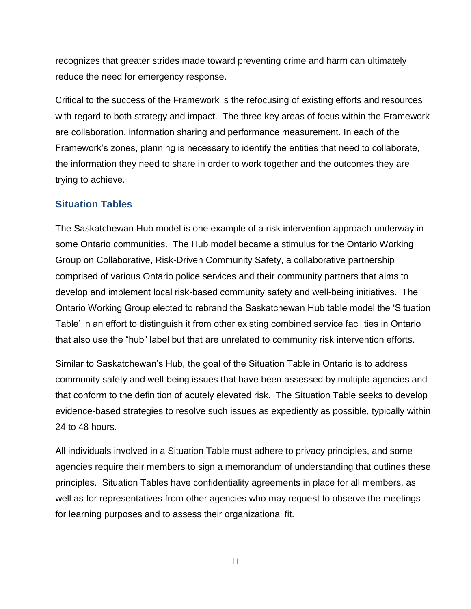recognizes that greater strides made toward preventing crime and harm can ultimately reduce the need for emergency response.

Critical to the success of the Framework is the refocusing of existing efforts and resources with regard to both strategy and impact. The three key areas of focus within the Framework are collaboration, information sharing and performance measurement. In each of the Framework's zones, planning is necessary to identify the entities that need to collaborate, the information they need to share in order to work together and the outcomes they are trying to achieve.

### <span id="page-10-0"></span>**Situation Tables**

The Saskatchewan Hub model is one example of a risk intervention approach underway in some Ontario communities. The Hub model became a stimulus for the Ontario Working Group on Collaborative, Risk-Driven Community Safety, a collaborative partnership comprised of various Ontario police services and their community partners that aims to develop and implement local risk-based community safety and well-being initiatives. The Ontario Working Group elected to rebrand the Saskatchewan Hub table model the 'Situation Table' in an effort to distinguish it from other existing combined service facilities in Ontario that also use the "hub" label but that are unrelated to community risk intervention efforts.

Similar to Saskatchewan's Hub, the goal of the Situation Table in Ontario is to address community safety and well-being issues that have been assessed by multiple agencies and that conform to the definition of acutely elevated risk. The Situation Table seeks to develop evidence-based strategies to resolve such issues as expediently as possible, typically within 24 to 48 hours.

All individuals involved in a Situation Table must adhere to privacy principles, and some agencies require their members to sign a memorandum of understanding that outlines these principles. Situation Tables have confidentiality agreements in place for all members, as well as for representatives from other agencies who may request to observe the meetings for learning purposes and to assess their organizational fit.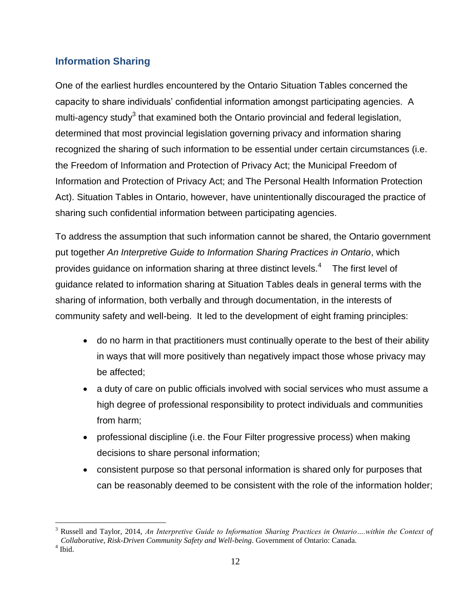### <span id="page-11-0"></span>**Information Sharing**

One of the earliest hurdles encountered by the Ontario Situation Tables concerned the capacity to share individuals' confidential information amongst participating agencies. A multi-agency study<sup>3</sup> that examined both the Ontario provincial and federal legislation, determined that most provincial legislation governing privacy and information sharing recognized the sharing of such information to be essential under certain circumstances (i.e. the Freedom of Information and Protection of Privacy Act; the Municipal Freedom of Information and Protection of Privacy Act; and The Personal Health Information Protection Act). Situation Tables in Ontario, however, have unintentionally discouraged the practice of sharing such confidential information between participating agencies.

To address the assumption that such information cannot be shared, the Ontario government put together *An Interpretive Guide to Information Sharing Practices in Ontario*, which provides guidance on information sharing at three distinct levels.<sup>4</sup> The first level of guidance related to information sharing at Situation Tables deals in general terms with the sharing of information, both verbally and through documentation, in the interests of community safety and well-being. It led to the development of eight framing principles:

- do no harm in that practitioners must continually operate to the best of their ability in ways that will more positively than negatively impact those whose privacy may be affected;
- a duty of care on public officials involved with social services who must assume a high degree of professional responsibility to protect individuals and communities from harm;
- professional discipline (i.e. the Four Filter progressive process) when making decisions to share personal information;
- consistent purpose so that personal information is shared only for purposes that can be reasonably deemed to be consistent with the role of the information holder;

 $\overline{a}$ <sup>3</sup> Russell and Taylor, 2014, *An Interpretive Guide to Information Sharing Practices in Ontario….within the Context of Collaborative, Risk-Driven Community Safety and Well-being.* Government of Ontario: Canada.

<sup>4</sup> Ibid.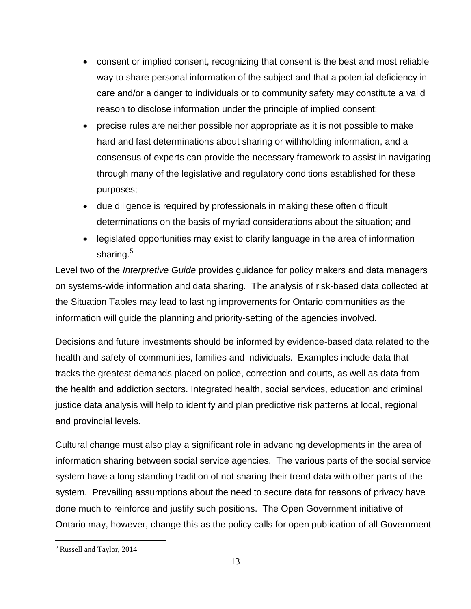- consent or implied consent, recognizing that consent is the best and most reliable way to share personal information of the subject and that a potential deficiency in care and/or a danger to individuals or to community safety may constitute a valid reason to disclose information under the principle of implied consent;
- precise rules are neither possible nor appropriate as it is not possible to make hard and fast determinations about sharing or withholding information, and a consensus of experts can provide the necessary framework to assist in navigating through many of the legislative and regulatory conditions established for these purposes;
- due diligence is required by professionals in making these often difficult determinations on the basis of myriad considerations about the situation; and
- legislated opportunities may exist to clarify language in the area of information sharing.<sup>5</sup>

Level two of the *Interpretive Guide* provides guidance for policy makers and data managers on systems-wide information and data sharing. The analysis of risk-based data collected at the Situation Tables may lead to lasting improvements for Ontario communities as the information will guide the planning and priority-setting of the agencies involved.

Decisions and future investments should be informed by evidence-based data related to the health and safety of communities, families and individuals. Examples include data that tracks the greatest demands placed on police, correction and courts, as well as data from the health and addiction sectors. Integrated health, social services, education and criminal justice data analysis will help to identify and plan predictive risk patterns at local, regional and provincial levels.

Cultural change must also play a significant role in advancing developments in the area of information sharing between social service agencies. The various parts of the social service system have a long-standing tradition of not sharing their trend data with other parts of the system. Prevailing assumptions about the need to secure data for reasons of privacy have done much to reinforce and justify such positions. The Open Government initiative of Ontario may, however, change this as the policy calls for open publication of all Government

 $\overline{a}$ 

<sup>5</sup> Russell and Taylor, 2014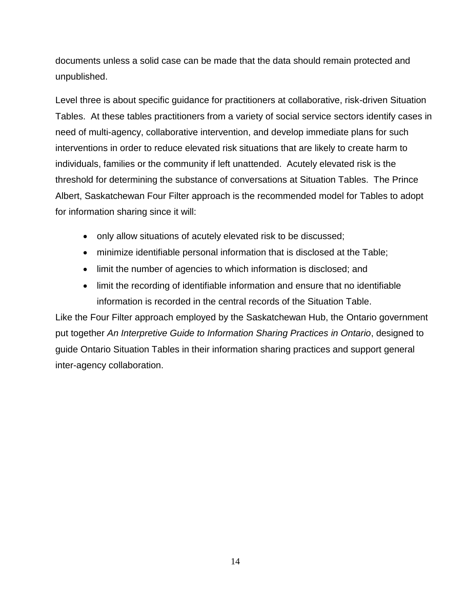documents unless a solid case can be made that the data should remain protected and unpublished.

Level three is about specific guidance for practitioners at collaborative, risk-driven Situation Tables. At these tables practitioners from a variety of social service sectors identify cases in need of multi-agency, collaborative intervention, and develop immediate plans for such interventions in order to reduce elevated risk situations that are likely to create harm to individuals, families or the community if left unattended. Acutely elevated risk is the threshold for determining the substance of conversations at Situation Tables. The Prince Albert, Saskatchewan Four Filter approach is the recommended model for Tables to adopt for information sharing since it will:

- only allow situations of acutely elevated risk to be discussed;
- minimize identifiable personal information that is disclosed at the Table;
- limit the number of agencies to which information is disclosed; and
- limit the recording of identifiable information and ensure that no identifiable information is recorded in the central records of the Situation Table.

Like the Four Filter approach employed by the Saskatchewan Hub, the Ontario government put together *An Interpretive Guide to Information Sharing Practices in Ontario*, designed to guide Ontario Situation Tables in their information sharing practices and support general inter-agency collaboration.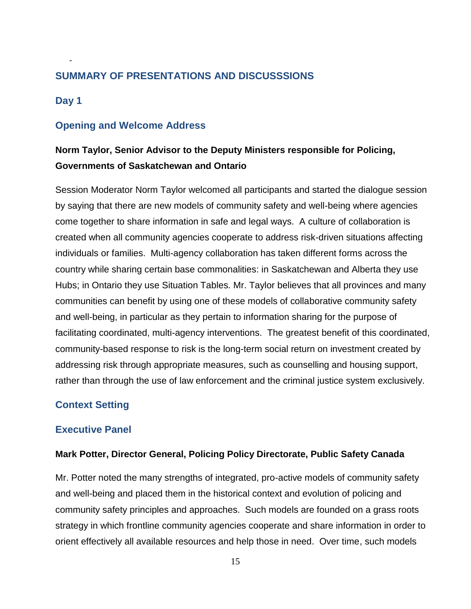### <span id="page-14-0"></span>**SUMMARY OF PRESENTATIONS AND DISCUSSSIONS**

### <span id="page-14-1"></span>**Day 1**

-

### <span id="page-14-2"></span>**Opening and Welcome Address**

### **Norm Taylor, Senior Advisor to the Deputy Ministers responsible for Policing, Governments of Saskatchewan and Ontario**

Session Moderator Norm Taylor welcomed all participants and started the dialogue session by saying that there are new models of community safety and well-being where agencies come together to share information in safe and legal ways. A culture of collaboration is created when all community agencies cooperate to address risk-driven situations affecting individuals or families. Multi-agency collaboration has taken different forms across the country while sharing certain base commonalities: in Saskatchewan and Alberta they use Hubs; in Ontario they use Situation Tables. Mr. Taylor believes that all provinces and many communities can benefit by using one of these models of collaborative community safety and well-being, in particular as they pertain to information sharing for the purpose of facilitating coordinated, multi-agency interventions. The greatest benefit of this coordinated, community-based response to risk is the long-term social return on investment created by addressing risk through appropriate measures, such as counselling and housing support, rather than through the use of law enforcement and the criminal justice system exclusively.

### <span id="page-14-3"></span>**Context Setting**

#### **Executive Panel**

#### **Mark Potter, Director General, Policing Policy Directorate, Public Safety Canada**

Mr. Potter noted the many strengths of integrated, pro-active models of community safety and well-being and placed them in the historical context and evolution of policing and community safety principles and approaches. Such models are founded on a grass roots strategy in which frontline community agencies cooperate and share information in order to orient effectively all available resources and help those in need. Over time, such models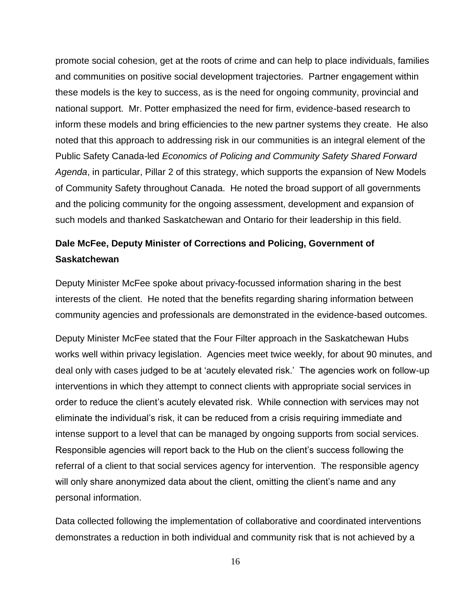promote social cohesion, get at the roots of crime and can help to place individuals, families and communities on positive social development trajectories. Partner engagement within these models is the key to success, as is the need for ongoing community, provincial and national support. Mr. Potter emphasized the need for firm, evidence-based research to inform these models and bring efficiencies to the new partner systems they create. He also noted that this approach to addressing risk in our communities is an integral element of the Public Safety Canada-led *Economics of Policing and Community Safety Shared Forward Agenda*, in particular, Pillar 2 of this strategy, which supports the expansion of New Models of Community Safety throughout Canada. He noted the broad support of all governments and the policing community for the ongoing assessment, development and expansion of such models and thanked Saskatchewan and Ontario for their leadership in this field.

### **Dale McFee, Deputy Minister of Corrections and Policing, Government of Saskatchewan**

Deputy Minister McFee spoke about privacy-focussed information sharing in the best interests of the client. He noted that the benefits regarding sharing information between community agencies and professionals are demonstrated in the evidence-based outcomes.

Deputy Minister McFee stated that the Four Filter approach in the Saskatchewan Hubs works well within privacy legislation. Agencies meet twice weekly, for about 90 minutes, and deal only with cases judged to be at 'acutely elevated risk.' The agencies work on follow-up interventions in which they attempt to connect clients with appropriate social services in order to reduce the client's acutely elevated risk. While connection with services may not eliminate the individual's risk, it can be reduced from a crisis requiring immediate and intense support to a level that can be managed by ongoing supports from social services. Responsible agencies will report back to the Hub on the client's success following the referral of a client to that social services agency for intervention. The responsible agency will only share anonymized data about the client, omitting the client's name and any personal information.

Data collected following the implementation of collaborative and coordinated interventions demonstrates a reduction in both individual and community risk that is not achieved by a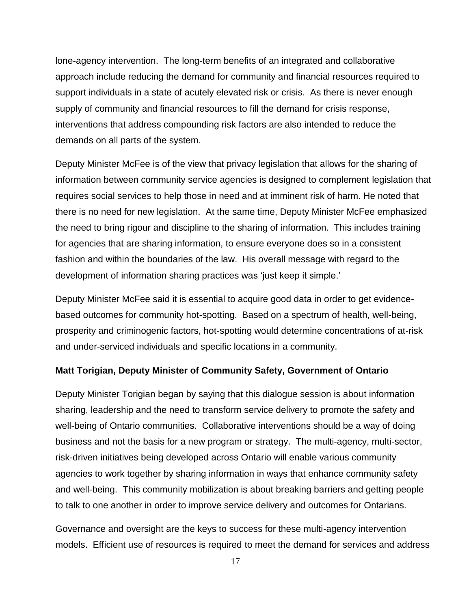lone-agency intervention. The long-term benefits of an integrated and collaborative approach include reducing the demand for community and financial resources required to support individuals in a state of acutely elevated risk or crisis. As there is never enough supply of community and financial resources to fill the demand for crisis response, interventions that address compounding risk factors are also intended to reduce the demands on all parts of the system.

Deputy Minister McFee is of the view that privacy legislation that allows for the sharing of information between community service agencies is designed to complement legislation that requires social services to help those in need and at imminent risk of harm. He noted that there is no need for new legislation. At the same time, Deputy Minister McFee emphasized the need to bring rigour and discipline to the sharing of information. This includes training for agencies that are sharing information, to ensure everyone does so in a consistent fashion and within the boundaries of the law. His overall message with regard to the development of information sharing practices was 'just keep it simple.'

Deputy Minister McFee said it is essential to acquire good data in order to get evidencebased outcomes for community hot-spotting. Based on a spectrum of health, well-being, prosperity and criminogenic factors, hot-spotting would determine concentrations of at-risk and under-serviced individuals and specific locations in a community.

#### **Matt Torigian, Deputy Minister of Community Safety, Government of Ontario**

Deputy Minister Torigian began by saying that this dialogue session is about information sharing, leadership and the need to transform service delivery to promote the safety and well-being of Ontario communities. Collaborative interventions should be a way of doing business and not the basis for a new program or strategy. The multi-agency, multi-sector, risk-driven initiatives being developed across Ontario will enable various community agencies to work together by sharing information in ways that enhance community safety and well-being. This community mobilization is about breaking barriers and getting people to talk to one another in order to improve service delivery and outcomes for Ontarians.

Governance and oversight are the keys to success for these multi-agency intervention models. Efficient use of resources is required to meet the demand for services and address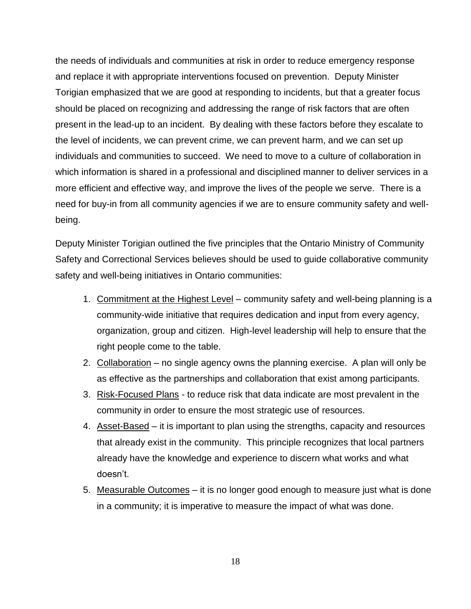the needs of individuals and communities at risk in order to reduce emergency response and replace it with appropriate interventions focused on prevention. Deputy Minister Torigian emphasized that we are good at responding to incidents, but that a greater focus should be placed on recognizing and addressing the range of risk factors that are often present in the lead-up to an incident. By dealing with these factors before they escalate to the level of incidents, we can prevent crime, we can prevent harm, and we can set up individuals and communities to succeed. We need to move to a culture of collaboration in which information is shared in a professional and disciplined manner to deliver services in a more efficient and effective way, and improve the lives of the people we serve. There is a need for buy-in from all community agencies if we are to ensure community safety and wellbeing.

Deputy Minister Torigian outlined the five principles that the Ontario Ministry of Community Safety and Correctional Services believes should be used to guide collaborative community safety and well-being initiatives in Ontario communities:

- 1. Commitment at the Highest Level community safety and well-being planning is a community-wide initiative that requires dedication and input from every agency, organization, group and citizen. High-level leadership will help to ensure that the right people come to the table.
- 2. Collaboration no single agency owns the planning exercise. A plan will only be as effective as the partnerships and collaboration that exist among participants.
- 3. Risk-Focused Plans to reduce risk that data indicate are most prevalent in the community in order to ensure the most strategic use of resources.
- 4. Asset-Based it is important to plan using the strengths, capacity and resources that already exist in the community. This principle recognizes that local partners already have the knowledge and experience to discern what works and what doesn't.
- 5. Measurable Outcomes it is no longer good enough to measure just what is done in a community; it is imperative to measure the impact of what was done.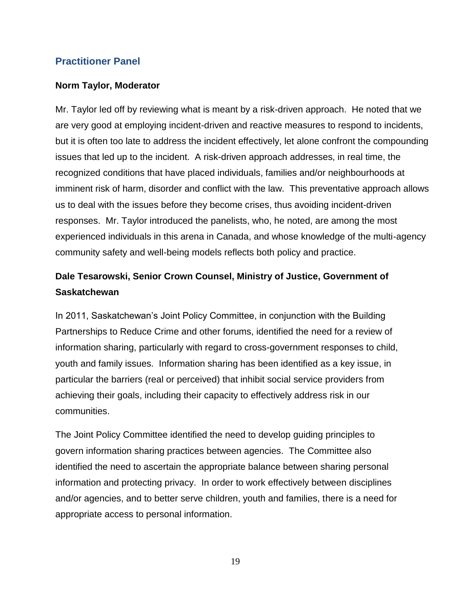### **Practitioner Panel**

### **Norm Taylor, Moderator**

Mr. Taylor led off by reviewing what is meant by a risk-driven approach. He noted that we are very good at employing incident-driven and reactive measures to respond to incidents, but it is often too late to address the incident effectively, let alone confront the compounding issues that led up to the incident. A risk-driven approach addresses, in real time, the recognized conditions that have placed individuals, families and/or neighbourhoods at imminent risk of harm, disorder and conflict with the law. This preventative approach allows us to deal with the issues before they become crises, thus avoiding incident-driven responses. Mr. Taylor introduced the panelists, who, he noted, are among the most experienced individuals in this arena in Canada, and whose knowledge of the multi-agency community safety and well-being models reflects both policy and practice.

### **Dale Tesarowski, Senior Crown Counsel, Ministry of Justice, Government of Saskatchewan**

In 2011, Saskatchewan's Joint Policy Committee, in conjunction with the Building Partnerships to Reduce Crime and other forums, identified the need for a review of information sharing, particularly with regard to cross-government responses to child, youth and family issues. Information sharing has been identified as a key issue, in particular the barriers (real or perceived) that inhibit social service providers from achieving their goals, including their capacity to effectively address risk in our communities.

The Joint Policy Committee identified the need to develop guiding principles to govern information sharing practices between agencies. The Committee also identified the need to ascertain the appropriate balance between sharing personal information and protecting privacy. In order to work effectively between disciplines and/or agencies, and to better serve children, youth and families, there is a need for appropriate access to personal information.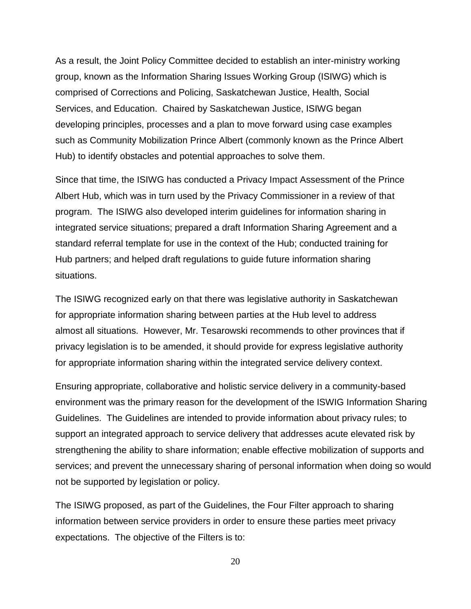As a result, the Joint Policy Committee decided to establish an inter-ministry working group, known as the Information Sharing Issues Working Group (ISIWG) which is comprised of Corrections and Policing, Saskatchewan Justice, Health, Social Services, and Education. Chaired by Saskatchewan Justice, ISIWG began developing principles, processes and a plan to move forward using case examples such as Community Mobilization Prince Albert (commonly known as the Prince Albert Hub) to identify obstacles and potential approaches to solve them.

Since that time, the ISIWG has conducted a Privacy Impact Assessment of the Prince Albert Hub, which was in turn used by the Privacy Commissioner in a review of that program. The ISIWG also developed interim guidelines for information sharing in integrated service situations; prepared a draft Information Sharing Agreement and a standard referral template for use in the context of the Hub; conducted training for Hub partners; and helped draft regulations to guide future information sharing situations.

The ISIWG recognized early on that there was legislative authority in Saskatchewan for appropriate information sharing between parties at the Hub level to address almost all situations. However, Mr. Tesarowski recommends to other provinces that if privacy legislation is to be amended, it should provide for express legislative authority for appropriate information sharing within the integrated service delivery context.

Ensuring appropriate, collaborative and holistic service delivery in a community-based environment was the primary reason for the development of the ISWIG Information Sharing Guidelines. The Guidelines are intended to provide information about privacy rules; to support an integrated approach to service delivery that addresses acute elevated risk by strengthening the ability to share information; enable effective mobilization of supports and services; and prevent the unnecessary sharing of personal information when doing so would not be supported by legislation or policy.

The ISIWG proposed, as part of the Guidelines, the Four Filter approach to sharing information between service providers in order to ensure these parties meet privacy expectations. The objective of the Filters is to: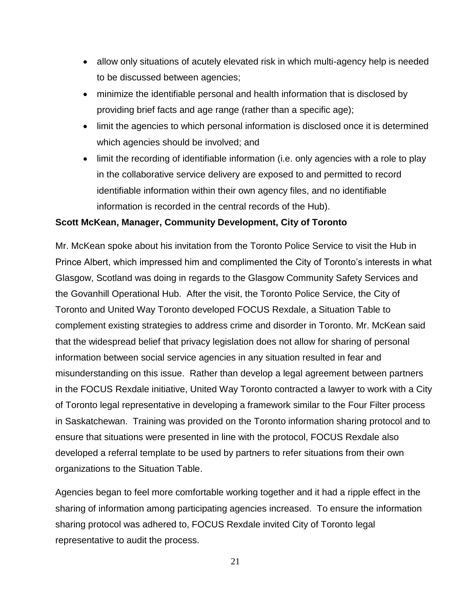- allow only situations of acutely elevated risk in which multi-agency help is needed to be discussed between agencies;
- minimize the identifiable personal and health information that is disclosed by providing brief facts and age range (rather than a specific age);
- limit the agencies to which personal information is disclosed once it is determined which agencies should be involved; and
- limit the recording of identifiable information (i.e. only agencies with a role to play in the collaborative service delivery are exposed to and permitted to record identifiable information within their own agency files, and no identifiable information is recorded in the central records of the Hub).

### **Scott McKean, Manager, Community Development, City of Toronto**

Mr. McKean spoke about his invitation from the Toronto Police Service to visit the Hub in Prince Albert, which impressed him and complimented the City of Toronto's interests in what Glasgow, Scotland was doing in regards to the Glasgow Community Safety Services and the Govanhill Operational Hub. After the visit, the Toronto Police Service, the City of Toronto and United Way Toronto developed FOCUS Rexdale, a Situation Table to complement existing strategies to address crime and disorder in Toronto. Mr. McKean said that the widespread belief that privacy legislation does not allow for sharing of personal information between social service agencies in any situation resulted in fear and misunderstanding on this issue. Rather than develop a legal agreement between partners in the FOCUS Rexdale initiative, United Way Toronto contracted a lawyer to work with a City of Toronto legal representative in developing a framework similar to the Four Filter process in Saskatchewan. Training was provided on the Toronto information sharing protocol and to ensure that situations were presented in line with the protocol, FOCUS Rexdale also developed a referral template to be used by partners to refer situations from their own organizations to the Situation Table.

Agencies began to feel more comfortable working together and it had a ripple effect in the sharing of information among participating agencies increased. To ensure the information sharing protocol was adhered to, FOCUS Rexdale invited City of Toronto legal representative to audit the process.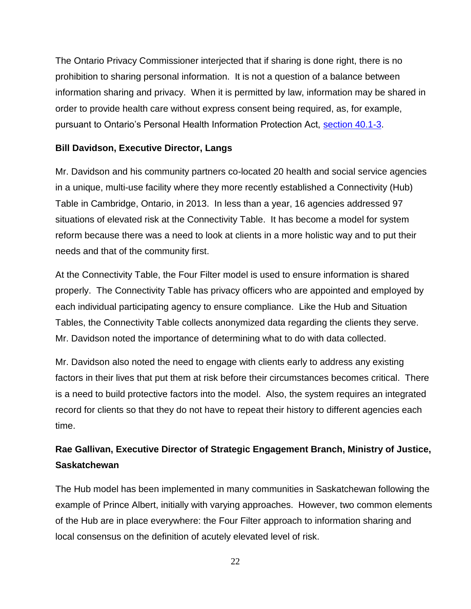The Ontario Privacy Commissioner interjected that if sharing is done right, there is no prohibition to sharing personal information. It is not a question of a balance between information sharing and privacy. When it is permitted by law, information may be shared in order to provide health care without express consent being required, as, for example, pursuant to Ontario's Personal Health Information Protection Act, [section 40.1-3.](http://www.e-laws.gov.on.ca/html/statutes/english/elaws_statutes_04p03_e.htm#BK54)

### **Bill Davidson, Executive Director, Langs**

Mr. Davidson and his community partners co-located 20 health and social service agencies in a unique, multi-use facility where they more recently established a Connectivity (Hub) Table in Cambridge, Ontario, in 2013. In less than a year, 16 agencies addressed 97 situations of elevated risk at the Connectivity Table. It has become a model for system reform because there was a need to look at clients in a more holistic way and to put their needs and that of the community first.

At the Connectivity Table, the Four Filter model is used to ensure information is shared properly. The Connectivity Table has privacy officers who are appointed and employed by each individual participating agency to ensure compliance. Like the Hub and Situation Tables, the Connectivity Table collects anonymized data regarding the clients they serve. Mr. Davidson noted the importance of determining what to do with data collected.

Mr. Davidson also noted the need to engage with clients early to address any existing factors in their lives that put them at risk before their circumstances becomes critical. There is a need to build protective factors into the model. Also, the system requires an integrated record for clients so that they do not have to repeat their history to different agencies each time.

### **Rae Gallivan, Executive Director of Strategic Engagement Branch, Ministry of Justice, Saskatchewan**

The Hub model has been implemented in many communities in Saskatchewan following the example of Prince Albert, initially with varying approaches. However, two common elements of the Hub are in place everywhere: the Four Filter approach to information sharing and local consensus on the definition of acutely elevated level of risk.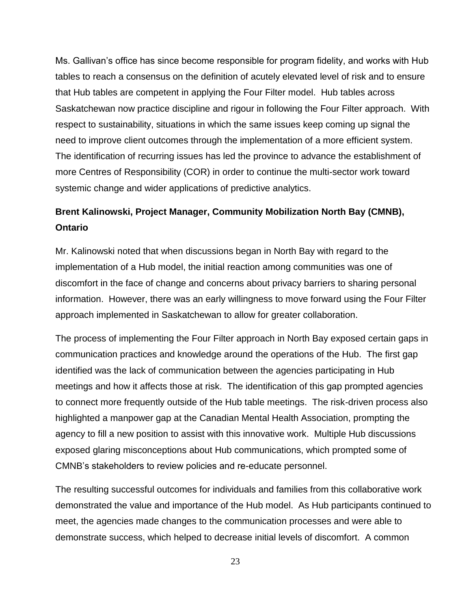Ms. Gallivan's office has since become responsible for program fidelity, and works with Hub tables to reach a consensus on the definition of acutely elevated level of risk and to ensure that Hub tables are competent in applying the Four Filter model. Hub tables across Saskatchewan now practice discipline and rigour in following the Four Filter approach. With respect to sustainability, situations in which the same issues keep coming up signal the need to improve client outcomes through the implementation of a more efficient system. The identification of recurring issues has led the province to advance the establishment of more Centres of Responsibility (COR) in order to continue the multi-sector work toward systemic change and wider applications of predictive analytics.

### **Brent Kalinowski, Project Manager, Community Mobilization North Bay (CMNB), Ontario**

Mr. Kalinowski noted that when discussions began in North Bay with regard to the implementation of a Hub model, the initial reaction among communities was one of discomfort in the face of change and concerns about privacy barriers to sharing personal information. However, there was an early willingness to move forward using the Four Filter approach implemented in Saskatchewan to allow for greater collaboration.

The process of implementing the Four Filter approach in North Bay exposed certain gaps in communication practices and knowledge around the operations of the Hub. The first gap identified was the lack of communication between the agencies participating in Hub meetings and how it affects those at risk. The identification of this gap prompted agencies to connect more frequently outside of the Hub table meetings. The risk-driven process also highlighted a manpower gap at the Canadian Mental Health Association, prompting the agency to fill a new position to assist with this innovative work. Multiple Hub discussions exposed glaring misconceptions about Hub communications, which prompted some of CMNB's stakeholders to review policies and re-educate personnel.

The resulting successful outcomes for individuals and families from this collaborative work demonstrated the value and importance of the Hub model. As Hub participants continued to meet, the agencies made changes to the communication processes and were able to demonstrate success, which helped to decrease initial levels of discomfort. A common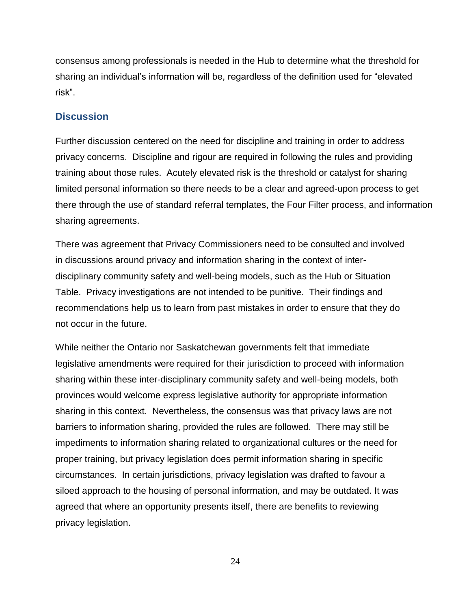consensus among professionals is needed in the Hub to determine what the threshold for sharing an individual's information will be, regardless of the definition used for "elevated risk".

### **Discussion**

Further discussion centered on the need for discipline and training in order to address privacy concerns. Discipline and rigour are required in following the rules and providing training about those rules. Acutely elevated risk is the threshold or catalyst for sharing limited personal information so there needs to be a clear and agreed-upon process to get there through the use of standard referral templates, the Four Filter process, and information sharing agreements.

There was agreement that Privacy Commissioners need to be consulted and involved in discussions around privacy and information sharing in the context of interdisciplinary community safety and well-being models, such as the Hub or Situation Table. Privacy investigations are not intended to be punitive. Their findings and recommendations help us to learn from past mistakes in order to ensure that they do not occur in the future.

While neither the Ontario nor Saskatchewan governments felt that immediate legislative amendments were required for their jurisdiction to proceed with information sharing within these inter-disciplinary community safety and well-being models, both provinces would welcome express legislative authority for appropriate information sharing in this context. Nevertheless, the consensus was that privacy laws are not barriers to information sharing, provided the rules are followed. There may still be impediments to information sharing related to organizational cultures or the need for proper training, but privacy legislation does permit information sharing in specific circumstances. In certain jurisdictions, privacy legislation was drafted to favour a siloed approach to the housing of personal information, and may be outdated. It was agreed that where an opportunity presents itself, there are benefits to reviewing privacy legislation.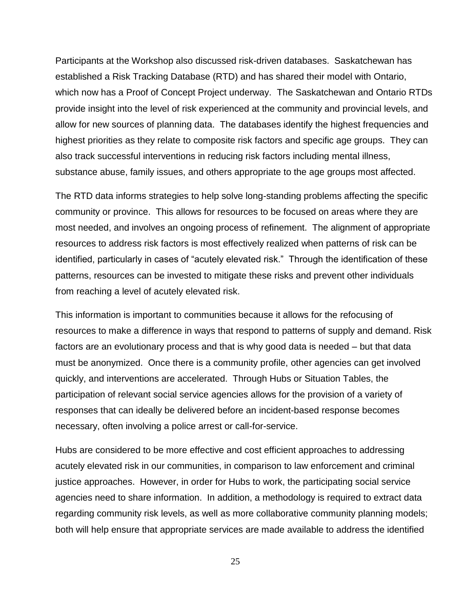Participants at the Workshop also discussed risk-driven databases. Saskatchewan has established a Risk Tracking Database (RTD) and has shared their model with Ontario, which now has a Proof of Concept Project underway. The Saskatchewan and Ontario RTDs provide insight into the level of risk experienced at the community and provincial levels, and allow for new sources of planning data. The databases identify the highest frequencies and highest priorities as they relate to composite risk factors and specific age groups. They can also track successful interventions in reducing risk factors including mental illness, substance abuse, family issues, and others appropriate to the age groups most affected.

The RTD data informs strategies to help solve long-standing problems affecting the specific community or province. This allows for resources to be focused on areas where they are most needed, and involves an ongoing process of refinement. The alignment of appropriate resources to address risk factors is most effectively realized when patterns of risk can be identified, particularly in cases of "acutely elevated risk." Through the identification of these patterns, resources can be invested to mitigate these risks and prevent other individuals from reaching a level of acutely elevated risk.

This information is important to communities because it allows for the refocusing of resources to make a difference in ways that respond to patterns of supply and demand. Risk factors are an evolutionary process and that is why good data is needed – but that data must be anonymized. Once there is a community profile, other agencies can get involved quickly, and interventions are accelerated. Through Hubs or Situation Tables, the participation of relevant social service agencies allows for the provision of a variety of responses that can ideally be delivered before an incident-based response becomes necessary, often involving a police arrest or call-for-service.

Hubs are considered to be more effective and cost efficient approaches to addressing acutely elevated risk in our communities, in comparison to law enforcement and criminal justice approaches. However, in order for Hubs to work, the participating social service agencies need to share information. In addition, a methodology is required to extract data regarding community risk levels, as well as more collaborative community planning models; both will help ensure that appropriate services are made available to address the identified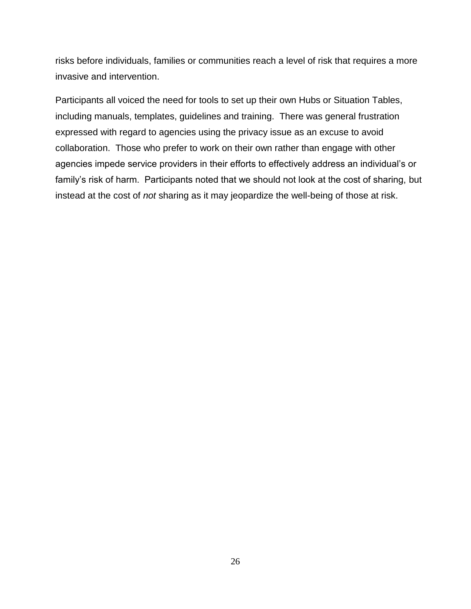risks before individuals, families or communities reach a level of risk that requires a more invasive and intervention.

Participants all voiced the need for tools to set up their own Hubs or Situation Tables, including manuals, templates, guidelines and training. There was general frustration expressed with regard to agencies using the privacy issue as an excuse to avoid collaboration. Those who prefer to work on their own rather than engage with other agencies impede service providers in their efforts to effectively address an individual's or family's risk of harm. Participants noted that we should not look at the cost of sharing, but instead at the cost of *not* sharing as it may jeopardize the well-being of those at risk.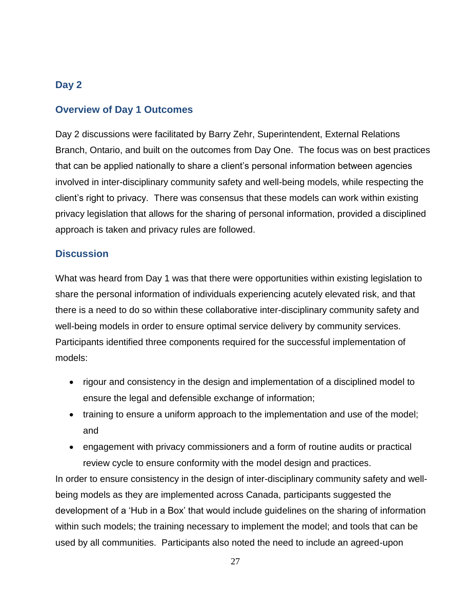### <span id="page-26-0"></span>**Day 2**

### <span id="page-26-1"></span>**Overview of Day 1 Outcomes**

Day 2 discussions were facilitated by Barry Zehr, Superintendent, External Relations Branch, Ontario, and built on the outcomes from Day One. The focus was on best practices that can be applied nationally to share a client's personal information between agencies involved in inter-disciplinary community safety and well-being models, while respecting the client's right to privacy. There was consensus that these models can work within existing privacy legislation that allows for the sharing of personal information, provided a disciplined approach is taken and privacy rules are followed.

### <span id="page-26-2"></span>**Discussion**

What was heard from Day 1 was that there were opportunities within existing legislation to share the personal information of individuals experiencing acutely elevated risk, and that there is a need to do so within these collaborative inter-disciplinary community safety and well-being models in order to ensure optimal service delivery by community services. Participants identified three components required for the successful implementation of models:

- rigour and consistency in the design and implementation of a disciplined model to ensure the legal and defensible exchange of information;
- training to ensure a uniform approach to the implementation and use of the model; and
- engagement with privacy commissioners and a form of routine audits or practical review cycle to ensure conformity with the model design and practices.

In order to ensure consistency in the design of inter-disciplinary community safety and wellbeing models as they are implemented across Canada, participants suggested the development of a 'Hub in a Box' that would include guidelines on the sharing of information within such models; the training necessary to implement the model; and tools that can be used by all communities. Participants also noted the need to include an agreed-upon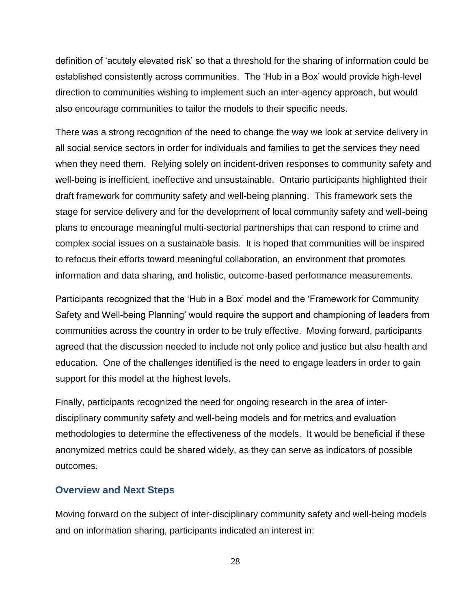definition of 'acutely elevated risk' so that a threshold for the sharing of information could be established consistently across communities. The 'Hub in a Box' would provide high-level direction to communities wishing to implement such an inter-agency approach, but would also encourage communities to tailor the models to their specific needs.

There was a strong recognition of the need to change the way we look at service delivery in all social service sectors in order for individuals and families to get the services they need when they need them. Relying solely on incident-driven responses to community safety and well-being is inefficient, ineffective and unsustainable. Ontario participants highlighted their draft framework for community safety and well-being planning. This framework sets the stage for service delivery and for the development of local community safety and well-being plans to encourage meaningful multi-sectorial partnerships that can respond to crime and complex social issues on a sustainable basis. It is hoped that communities will be inspired to refocus their efforts toward meaningful collaboration, an environment that promotes information and data sharing, and holistic, outcome-based performance measurements.

Participants recognized that the 'Hub in a Box' model and the 'Framework for Community Safety and Well-being Planning' would require the support and championing of leaders from communities across the country in order to be truly effective. Moving forward, participants agreed that the discussion needed to include not only police and justice but also health and education. One of the challenges identified is the need to engage leaders in order to gain support for this model at the highest levels.

Finally, participants recognized the need for ongoing research in the area of interdisciplinary community safety and well-being models and for metrics and evaluation methodologies to determine the effectiveness of the models. It would be beneficial if these anonymized metrics could be shared widely, as they can serve as indicators of possible outcomes.

#### <span id="page-27-0"></span>**Overview and Next Steps**

Moving forward on the subject of inter-disciplinary community safety and well-being models and on information sharing, participants indicated an interest in: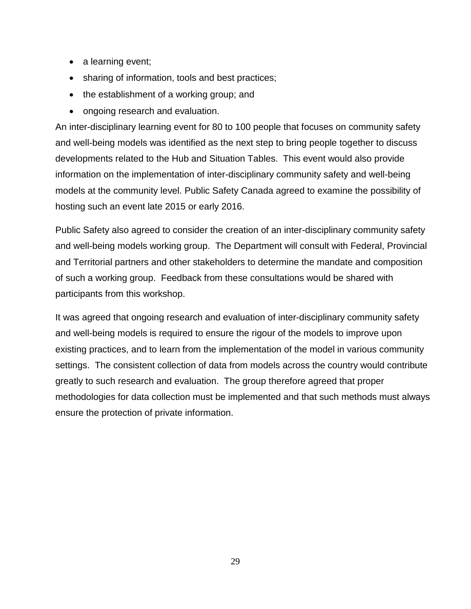- a learning event;
- sharing of information, tools and best practices;
- the establishment of a working group; and
- ongoing research and evaluation.

An inter-disciplinary learning event for 80 to 100 people that focuses on community safety and well-being models was identified as the next step to bring people together to discuss developments related to the Hub and Situation Tables. This event would also provide information on the implementation of inter-disciplinary community safety and well-being models at the community level. Public Safety Canada agreed to examine the possibility of hosting such an event late 2015 or early 2016.

Public Safety also agreed to consider the creation of an inter-disciplinary community safety and well-being models working group. The Department will consult with Federal, Provincial and Territorial partners and other stakeholders to determine the mandate and composition of such a working group. Feedback from these consultations would be shared with participants from this workshop.

It was agreed that ongoing research and evaluation of inter-disciplinary community safety and well-being models is required to ensure the rigour of the models to improve upon existing practices, and to learn from the implementation of the model in various community settings. The consistent collection of data from models across the country would contribute greatly to such research and evaluation. The group therefore agreed that proper methodologies for data collection must be implemented and that such methods must always ensure the protection of private information.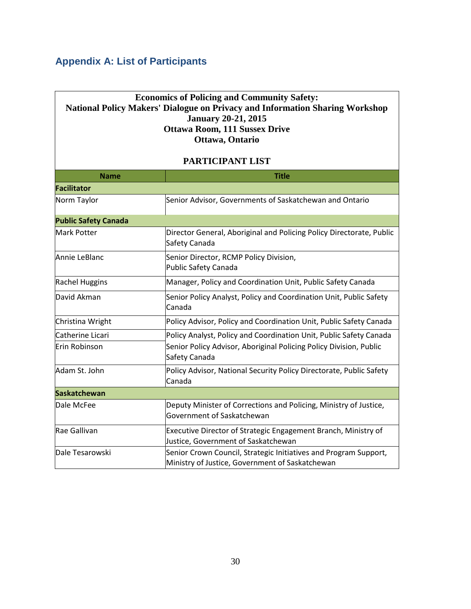## <span id="page-29-0"></span>**Appendix A: List of Participants**

### **Economics of Policing and Community Safety: National Policy Makers' Dialogue on Privacy and Information Sharing Workshop January 20-21, 2015 Ottawa Room, 111 Sussex Drive Ottawa, Ontario**

#### **PARTICIPANT LIST**

| <b>Name</b>                 | <b>Title</b>                                                                                                        |
|-----------------------------|---------------------------------------------------------------------------------------------------------------------|
| <b>Facilitator</b>          |                                                                                                                     |
| Norm Taylor                 | Senior Advisor, Governments of Saskatchewan and Ontario                                                             |
| <b>Public Safety Canada</b> |                                                                                                                     |
| <b>Mark Potter</b>          | Director General, Aboriginal and Policing Policy Directorate, Public<br>Safety Canada                               |
| Annie LeBlanc               | Senior Director, RCMP Policy Division,<br><b>Public Safety Canada</b>                                               |
| <b>Rachel Huggins</b>       | Manager, Policy and Coordination Unit, Public Safety Canada                                                         |
| David Akman                 | Senior Policy Analyst, Policy and Coordination Unit, Public Safety<br>Canada                                        |
| Christina Wright            | Policy Advisor, Policy and Coordination Unit, Public Safety Canada                                                  |
| <b>Catherine Licari</b>     | Policy Analyst, Policy and Coordination Unit, Public Safety Canada                                                  |
| Erin Robinson               | Senior Policy Advisor, Aboriginal Policing Policy Division, Public<br>Safety Canada                                 |
| Adam St. John               | Policy Advisor, National Security Policy Directorate, Public Safety<br>Canada                                       |
| <b>Saskatchewan</b>         |                                                                                                                     |
| Dale McFee                  | Deputy Minister of Corrections and Policing, Ministry of Justice,<br>Government of Saskatchewan                     |
| Rae Gallivan                | Executive Director of Strategic Engagement Branch, Ministry of<br>Justice, Government of Saskatchewan               |
| Dale Tesarowski             | Senior Crown Council, Strategic Initiatives and Program Support,<br>Ministry of Justice, Government of Saskatchewan |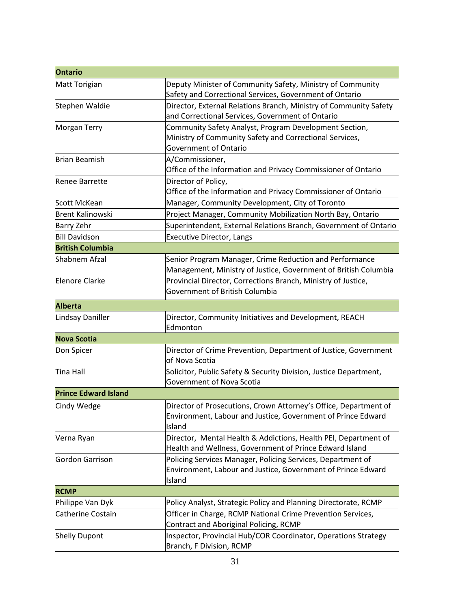| <b>Ontario</b>              |                                                                                                                                            |
|-----------------------------|--------------------------------------------------------------------------------------------------------------------------------------------|
| Matt Torigian               | Deputy Minister of Community Safety, Ministry of Community<br>Safety and Correctional Services, Government of Ontario                      |
| Stephen Waldie              | Director, External Relations Branch, Ministry of Community Safety<br>and Correctional Services, Government of Ontario                      |
| <b>Morgan Terry</b>         | Community Safety Analyst, Program Development Section,<br>Ministry of Community Safety and Correctional Services,<br>Government of Ontario |
| <b>Brian Beamish</b>        | A/Commissioner,<br>Office of the Information and Privacy Commissioner of Ontario                                                           |
| <b>Renee Barrette</b>       | Director of Policy,<br>Office of the Information and Privacy Commissioner of Ontario                                                       |
| Scott McKean                | Manager, Community Development, City of Toronto                                                                                            |
| Brent Kalinowski            | Project Manager, Community Mobilization North Bay, Ontario                                                                                 |
| <b>Barry Zehr</b>           | Superintendent, External Relations Branch, Government of Ontario                                                                           |
| <b>Bill Davidson</b>        | <b>Executive Director, Langs</b>                                                                                                           |
| <b>British Columbia</b>     |                                                                                                                                            |
| Shabnem Afzal               | Senior Program Manager, Crime Reduction and Performance<br>Management, Ministry of Justice, Government of British Columbia                 |
| Elenore Clarke              | Provincial Director, Corrections Branch, Ministry of Justice,<br>Government of British Columbia                                            |
| <b>Alberta</b>              |                                                                                                                                            |
| Lindsay Daniller            | Director, Community Initiatives and Development, REACH<br>Edmonton                                                                         |
| <b>Nova Scotia</b>          |                                                                                                                                            |
| Don Spicer                  | Director of Crime Prevention, Department of Justice, Government<br>of Nova Scotia                                                          |
| <b>Tina Hall</b>            | Solicitor, Public Safety & Security Division, Justice Department,<br>Government of Nova Scotia                                             |
| <b>Prince Edward Island</b> |                                                                                                                                            |
| Cindy Wedge                 | Director of Prosecutions, Crown Attorney's Office, Department of<br>Environment, Labour and Justice, Government of Prince Edward<br>Island |
| Verna Ryan                  | Director, Mental Health & Addictions, Health PEI, Department of<br>Health and Wellness, Government of Prince Edward Island                 |
| Gordon Garrison             | Policing Services Manager, Policing Services, Department of<br>Environment, Labour and Justice, Government of Prince Edward<br>Island      |
| <b>RCMP</b>                 |                                                                                                                                            |
| Philippe Van Dyk            | Policy Analyst, Strategic Policy and Planning Directorate, RCMP                                                                            |
| <b>Catherine Costain</b>    | Officer in Charge, RCMP National Crime Prevention Services,<br>Contract and Aboriginal Policing, RCMP                                      |
| <b>Shelly Dupont</b>        | Inspector, Provincial Hub/COR Coordinator, Operations Strategy<br>Branch, F Division, RCMP                                                 |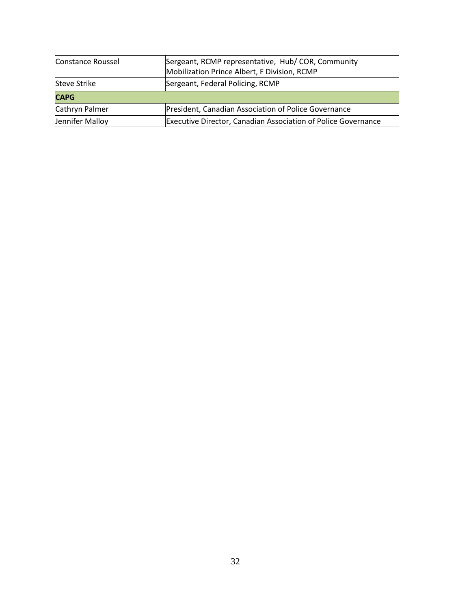| Constance Roussel   | Sergeant, RCMP representative, Hub/COR, Community<br>Mobilization Prince Albert, F Division, RCMP |
|---------------------|---------------------------------------------------------------------------------------------------|
| <b>Steve Strike</b> | Sergeant, Federal Policing, RCMP                                                                  |
| <b>CAPG</b>         |                                                                                                   |
| Cathryn Palmer      | President, Canadian Association of Police Governance                                              |
| Jennifer Malloy     | <b>Executive Director, Canadian Association of Police Governance</b>                              |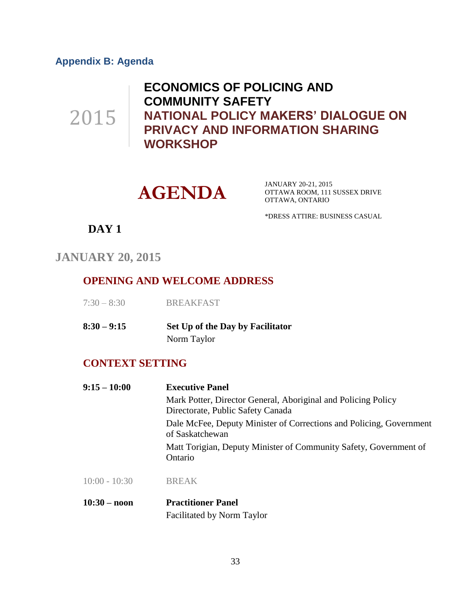### <span id="page-32-0"></span>**Appendix B: Agenda**

2015

**ECONOMICS OF POLICING AND COMMUNITY SAFETY NATIONAL POLICY MAKERS' DIALOGUE ON PRIVACY AND INFORMATION SHARING WORKSHOP**



JANUARY 20-21, 2015 OTTAWA ROOM, 111 SUSSEX DRIVE OTTAWA, ONTARIO

\*DRESS ATTIRE: BUSINESS CASUAL

**DAY 1**

**JANUARY 20, 2015**

### **OPENING AND WELCOME ADDRESS**

| $7:30 - 8:30$ | <b>BREAKFAST</b> |
|---------------|------------------|
|               |                  |

**8:30 – 9:15 Set Up of the Day by Facilitator** Norm Taylor

#### **CONTEXT SETTING**

| $9:15 - 10:00$ | <b>Executive Panel</b>                                                                             |  |
|----------------|----------------------------------------------------------------------------------------------------|--|
|                | Mark Potter, Director General, Aboriginal and Policing Policy<br>Directorate, Public Safety Canada |  |
|                | Dale McFee, Deputy Minister of Corrections and Policing, Government<br>of Saskatchewan             |  |
|                | Matt Torigian, Deputy Minister of Community Safety, Government of<br>Ontario                       |  |
|                |                                                                                                    |  |

10:00 - 10:30 BREAK

**10:30 – noon Practitioner Panel** Facilitated by Norm Taylor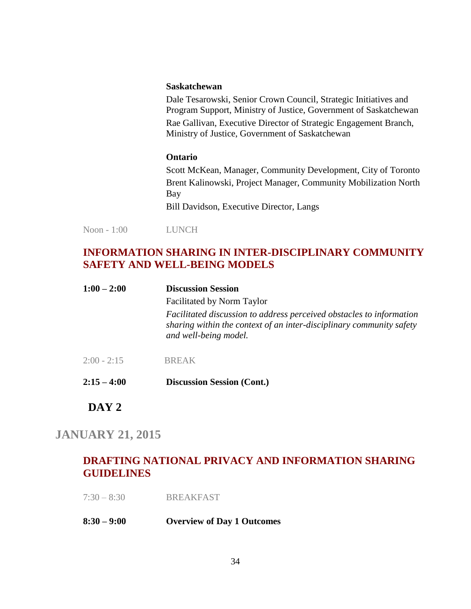#### **Saskatchewan**

Dale Tesarowski, Senior Crown Council, Strategic Initiatives and Program Support, Ministry of Justice, Government of Saskatchewan Rae Gallivan, Executive Director of Strategic Engagement Branch, Ministry of Justice, Government of Saskatchewan

#### **Ontario**

Scott McKean, Manager, Community Development, City of Toronto Brent Kalinowski, Project Manager, Community Mobilization North Bay Bill Davidson, Executive Director, Langs

Noon - 1:00 LUNCH

### **INFORMATION SHARING IN INTER-DISCIPLINARY COMMUNITY SAFETY AND WELL-BEING MODELS**

| $1:00 - 2:00$ | <b>Discussion Session</b><br><b>Facilitated by Norm Taylor</b><br>Facilitated discussion to address perceived obstacles to information<br>sharing within the context of an inter-disciplinary community safety<br>and well-being model. |
|---------------|-----------------------------------------------------------------------------------------------------------------------------------------------------------------------------------------------------------------------------------------|
| $2:15 - 4:00$ | <b>Discussion Session (Cont.)</b>                                                                                                                                                                                                       |

### **DAY 2**

### **JANUARY 21, 2015**

### **DRAFTING NATIONAL PRIVACY AND INFORMATION SHARING GUIDELINES**

7:30 – 8:30 BREAKFAST

#### **8:30 – 9:00 Overview of Day 1 Outcomes**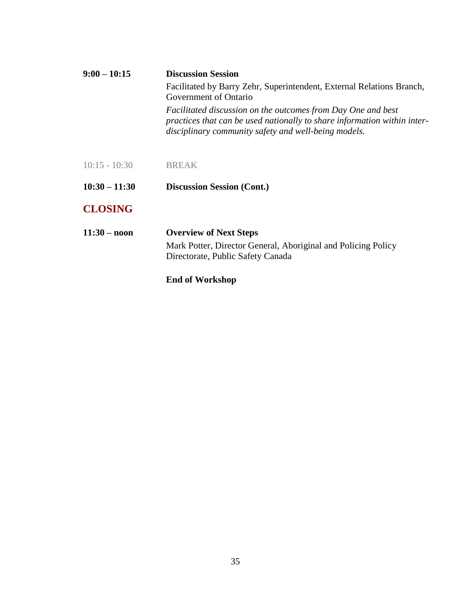| $9:00 - 10:15$        | <b>Discussion Session</b>                                                                                                                                                                        |  |
|-----------------------|--------------------------------------------------------------------------------------------------------------------------------------------------------------------------------------------------|--|
|                       | Facilitated by Barry Zehr, Superintendent, External Relations Branch,<br>Government of Ontario                                                                                                   |  |
|                       | Facilitated discussion on the outcomes from Day One and best<br>practices that can be used nationally to share information within inter-<br>disciplinary community safety and well-being models. |  |
| $10:15 - 10:30$       | <b>BREAK</b>                                                                                                                                                                                     |  |
| $10:30 - 11:30$       | <b>Discussion Session (Cont.)</b>                                                                                                                                                                |  |
| <b>CLOSING</b>        |                                                                                                                                                                                                  |  |
| $11:30 - \text{noon}$ | <b>Overview of Next Steps</b>                                                                                                                                                                    |  |
|                       | Mark Potter, Director General, Aboriginal and Policing Policy<br>Directorate, Public Safety Canada                                                                                               |  |
|                       | <b>End of Workshop</b>                                                                                                                                                                           |  |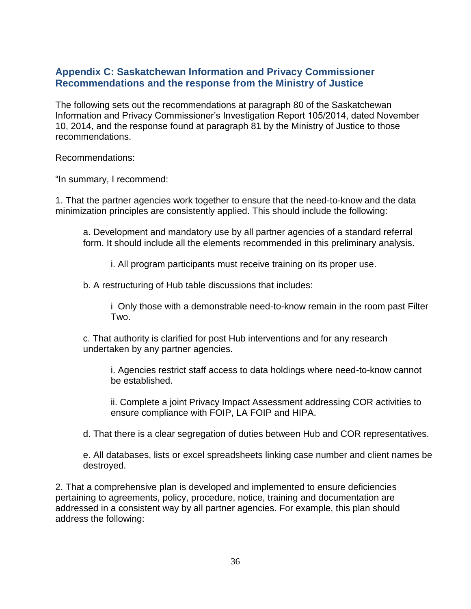### <span id="page-35-0"></span>**Appendix C: Saskatchewan Information and Privacy Commissioner Recommendations and the response from the Ministry of Justice**

The following sets out the recommendations at paragraph 80 of the Saskatchewan Information and Privacy Commissioner's Investigation Report 105/2014, dated November 10, 2014, and the response found at paragraph 81 by the Ministry of Justice to those recommendations.

Recommendations:

"In summary, I recommend:

1. That the partner agencies work together to ensure that the need-to-know and the data minimization principles are consistently applied. This should include the following:

a. Development and mandatory use by all partner agencies of a standard referral form. It should include all the elements recommended in this preliminary analysis.

i. All program participants must receive training on its proper use.

b. A restructuring of Hub table discussions that includes:

i Only those with a demonstrable need-to-know remain in the room past Filter Two.

c. That authority is clarified for post Hub interventions and for any research undertaken by any partner agencies.

i. Agencies restrict staff access to data holdings where need-to-know cannot be established.

ii. Complete a joint Privacy Impact Assessment addressing COR activities to ensure compliance with FOIP, LA FOIP and HIPA.

d. That there is a clear segregation of duties between Hub and COR representatives.

e. All databases, lists or excel spreadsheets linking case number and client names be destroyed.

2. That a comprehensive plan is developed and implemented to ensure deficiencies pertaining to agreements, policy, procedure, notice, training and documentation are addressed in a consistent way by all partner agencies. For example, this plan should address the following: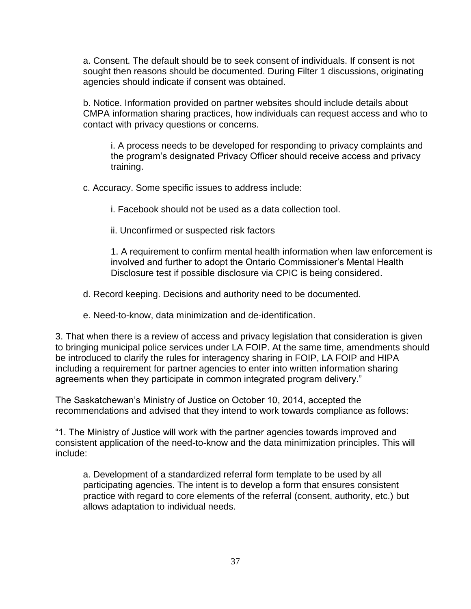a. Consent. The default should be to seek consent of individuals. If consent is not sought then reasons should be documented. During Filter 1 discussions, originating agencies should indicate if consent was obtained.

b. Notice. Information provided on partner websites should include details about CMPA information sharing practices, how individuals can request access and who to contact with privacy questions or concerns.

i. A process needs to be developed for responding to privacy complaints and the program's designated Privacy Officer should receive access and privacy training.

c. Accuracy. Some specific issues to address include:

i. Facebook should not be used as a data collection tool.

ii. Unconfirmed or suspected risk factors

1. A requirement to confirm mental health information when law enforcement is involved and further to adopt the Ontario Commissioner's Mental Health Disclosure test if possible disclosure via CPIC is being considered.

- d. Record keeping. Decisions and authority need to be documented.
- e. Need-to-know, data minimization and de-identification.

3. That when there is a review of access and privacy legislation that consideration is given to bringing municipal police services under LA FOIP. At the same time, amendments should be introduced to clarify the rules for interagency sharing in FOIP, LA FOIP and HIPA including a requirement for partner agencies to enter into written information sharing agreements when they participate in common integrated program delivery."

The Saskatchewan's Ministry of Justice on October 10, 2014, accepted the recommendations and advised that they intend to work towards compliance as follows:

"1. The Ministry of Justice will work with the partner agencies towards improved and consistent application of the need-to-know and the data minimization principles. This will include:

a. Development of a standardized referral form template to be used by all participating agencies. The intent is to develop a form that ensures consistent practice with regard to core elements of the referral (consent, authority, etc.) but allows adaptation to individual needs.